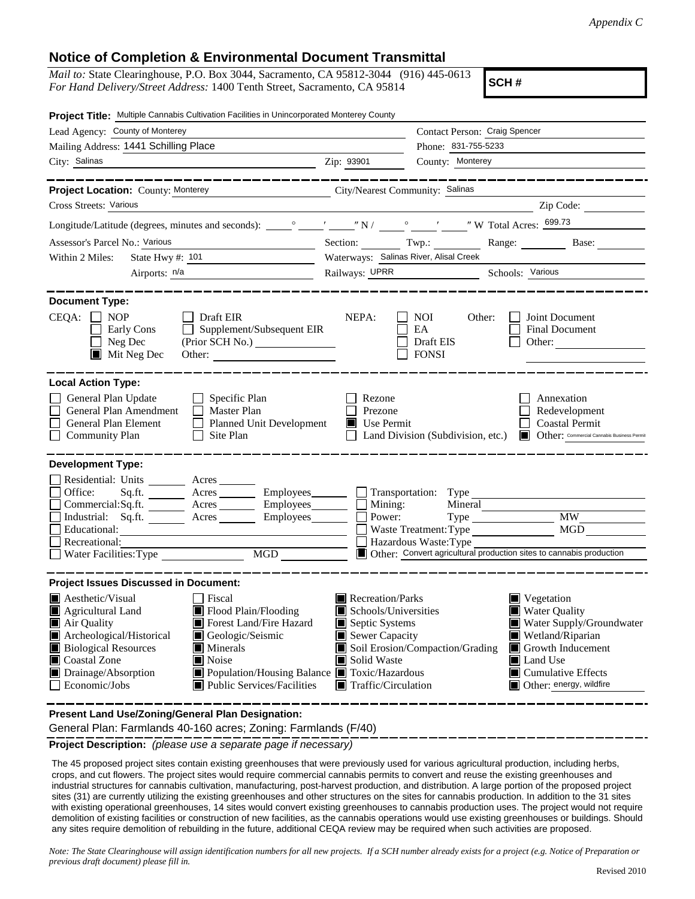## **Notice of Completion & Environmental Document Transmittal**

*Mail to:* State Clearinghouse, P.O. Box 3044, Sacramento, CA 95812-3044 (916) 445-0613 *For Hand Delivery/Street Address:* 1400 Tenth Street, Sacramento, CA 95814

**SCH #**

| $\overline{\phantom{a}}$ $\overline{\phantom{a}}$ $\overline{\phantom{a}}$ $\overline{\phantom{a}}$ $\overline{\phantom{a}}$ $\overline{\phantom{a}}$ $\overline{\phantom{a}}$ $\overline{\phantom{a}}$ $\overline{\phantom{a}}$ $\overline{\phantom{a}}$ $\overline{\phantom{a}}$ $\overline{\phantom{a}}$ $\overline{\phantom{a}}$ $\overline{\phantom{a}}$ $\overline{\phantom{a}}$ $\overline{\phantom{a}}$ $\overline{\phantom{a}}$ $\overline{\phantom{a}}$ $\overline{\$ |  |  |  |  |  |  |  |
|---------------------------------------------------------------------------------------------------------------------------------------------------------------------------------------------------------------------------------------------------------------------------------------------------------------------------------------------------------------------------------------------------------------------------------------------------------------------------------|--|--|--|--|--|--|--|
|                                                                                                                                                                                                                                                                                                                                                                                                                                                                                 |  |  |  |  |  |  |  |
| Range: Base:                                                                                                                                                                                                                                                                                                                                                                                                                                                                    |  |  |  |  |  |  |  |
| Waterways: Salinas River, Alisal Creek<br>Railways: UPRR Schools: Various                                                                                                                                                                                                                                                                                                                                                                                                       |  |  |  |  |  |  |  |
|                                                                                                                                                                                                                                                                                                                                                                                                                                                                                 |  |  |  |  |  |  |  |
|                                                                                                                                                                                                                                                                                                                                                                                                                                                                                 |  |  |  |  |  |  |  |
| <b>Local Action Type:</b>                                                                                                                                                                                                                                                                                                                                                                                                                                                       |  |  |  |  |  |  |  |
| Redevelopment<br><b>Coastal Permit</b><br>Other: Commercial Cannabis Business Permit                                                                                                                                                                                                                                                                                                                                                                                            |  |  |  |  |  |  |  |
| <b>Development Type:</b>                                                                                                                                                                                                                                                                                                                                                                                                                                                        |  |  |  |  |  |  |  |
| Other: Convert agricultural production sites to cannabis production                                                                                                                                                                                                                                                                                                                                                                                                             |  |  |  |  |  |  |  |
|                                                                                                                                                                                                                                                                                                                                                                                                                                                                                 |  |  |  |  |  |  |  |
| Water Supply/Groundwater<br>Growth Inducement<br>$\blacksquare$ Cumulative Effects<br>Other: energy, wildfire                                                                                                                                                                                                                                                                                                                                                                   |  |  |  |  |  |  |  |
| Wetland/Riparian                                                                                                                                                                                                                                                                                                                                                                                                                                                                |  |  |  |  |  |  |  |

**Present Land Use/Zoning/General Plan Designation:**

General Plan: Farmlands 40-160 acres; Zoning: Farmlands (F/40)

**Project Description:** *(please use a separate page if necessary)*

 The 45 proposed project sites contain existing greenhouses that were previously used for various agricultural production, including herbs, crops, and cut flowers. The project sites would require commercial cannabis permits to convert and reuse the existing greenhouses and industrial structures for cannabis cultivation, manufacturing, post-harvest production, and distribution. A large portion of the proposed project sites (31) are currently utilizing the existing greenhouses and other structures on the sites for cannabis production. In addition to the 31 sites with existing operational greenhouses, 14 sites would convert existing greenhouses to cannabis production uses. The project would not require demolition of existing facilities or construction of new facilities, as the cannabis operations would use existing greenhouses or buildings. Should any sites require demolition of rebuilding in the future, additional CEQA review may be required when such activities are proposed.

*Note: The State Clearinghouse will assign identification numbers for all new projects. If a SCH number already exists for a project (e.g. Notice of Preparation or previous draft document) please fill in.*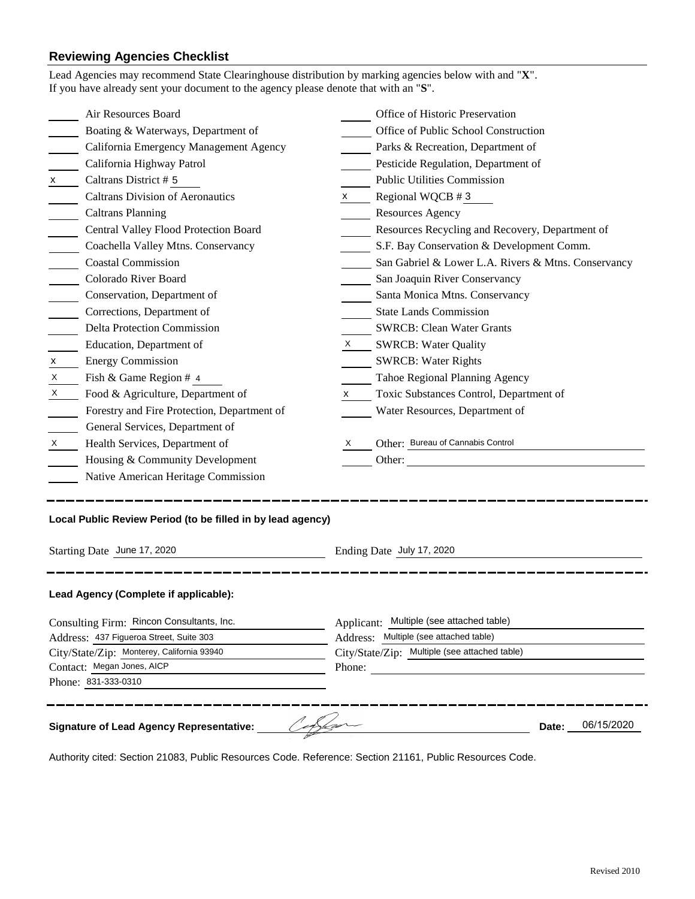## **Reviewing Agencies Checklist**

| 06/15/2020<br><b>Signature of Lead Agency Representative:</b><br>Date:               |                                                             |                                                                                    |                                                     |  |  |  |
|--------------------------------------------------------------------------------------|-------------------------------------------------------------|------------------------------------------------------------------------------------|-----------------------------------------------------|--|--|--|
|                                                                                      | Phone: 831-333-0310                                         |                                                                                    |                                                     |  |  |  |
| Contact: Megan Jones, AICP                                                           |                                                             |                                                                                    | Phone:                                              |  |  |  |
| City/State/Zip: Monterey, California 93940                                           |                                                             | City/State/Zip: Multiple (see attached table)                                      |                                                     |  |  |  |
| Consulting Firm: Rincon Consultants, Inc.<br>Address: 437 Figueroa Street, Suite 303 |                                                             | Applicant: Multiple (see attached table)<br>Address: Multiple (see attached table) |                                                     |  |  |  |
|                                                                                      | Lead Agency (Complete if applicable):                       |                                                                                    |                                                     |  |  |  |
| Starting Date June 17, 2020                                                          |                                                             |                                                                                    | Ending Date July 17, 2020                           |  |  |  |
|                                                                                      | Local Public Review Period (to be filled in by lead agency) |                                                                                    |                                                     |  |  |  |
|                                                                                      | Native American Heritage Commission                         |                                                                                    |                                                     |  |  |  |
|                                                                                      | Housing & Community Development                             |                                                                                    |                                                     |  |  |  |
| X                                                                                    | Health Services, Department of                              | X                                                                                  | Other: Bureau of Cannabis Control                   |  |  |  |
|                                                                                      | General Services, Department of                             |                                                                                    |                                                     |  |  |  |
|                                                                                      | Forestry and Fire Protection, Department of                 |                                                                                    | Water Resources, Department of                      |  |  |  |
| X                                                                                    | Food & Agriculture, Department of                           | X —                                                                                | Toxic Substances Control, Department of             |  |  |  |
| X                                                                                    | Fish & Game Region # 4                                      |                                                                                    | Tahoe Regional Planning Agency                      |  |  |  |
| x                                                                                    | <b>Energy Commission</b>                                    |                                                                                    | <b>SWRCB: Water Rights</b>                          |  |  |  |
|                                                                                      | Education, Department of                                    |                                                                                    | X SWRCB: Water Quality                              |  |  |  |
|                                                                                      | <b>Delta Protection Commission</b>                          |                                                                                    | <b>SWRCB: Clean Water Grants</b>                    |  |  |  |
|                                                                                      | Corrections, Department of                                  |                                                                                    | <b>State Lands Commission</b>                       |  |  |  |
|                                                                                      | Conservation, Department of                                 |                                                                                    | Santa Monica Mtns. Conservancy                      |  |  |  |
|                                                                                      | Colorado River Board                                        |                                                                                    | San Joaquin River Conservancy                       |  |  |  |
|                                                                                      | <b>Coastal Commission</b>                                   |                                                                                    | San Gabriel & Lower L.A. Rivers & Mtns. Conservancy |  |  |  |
|                                                                                      | Coachella Valley Mtns. Conservancy                          |                                                                                    | S.F. Bay Conservation & Development Comm.           |  |  |  |
|                                                                                      | Central Valley Flood Protection Board                       |                                                                                    | Resources Recycling and Recovery, Department of     |  |  |  |
|                                                                                      | <b>Caltrans Planning</b>                                    |                                                                                    | <b>Resources Agency</b>                             |  |  |  |
|                                                                                      | <b>Caltrans Division of Aeronautics</b>                     | $\boldsymbol{X}$                                                                   | Regional WQCB #3                                    |  |  |  |
| $\mathsf{X}$ and $\mathsf{X}$                                                        | Caltrans District # 5                                       |                                                                                    | <b>Public Utilities Commission</b>                  |  |  |  |
|                                                                                      | California Highway Patrol                                   |                                                                                    | Pesticide Regulation, Department of                 |  |  |  |
|                                                                                      | California Emergency Management Agency                      |                                                                                    | Parks & Recreation, Department of                   |  |  |  |
|                                                                                      | Boating & Waterways, Department of                          |                                                                                    | Office of Public School Construction                |  |  |  |
|                                                                                      | Air Resources Board                                         |                                                                                    | Office of Historic Preservation                     |  |  |  |

Authority cited: Section 21083, Public Resources Code. Reference: Section 21161, Public Resources Code.